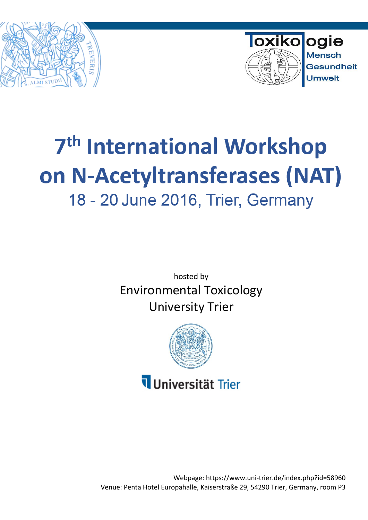



# 7<sup>th</sup> International Workshop on N-Acetyltransferases (NAT) 18 - 20 June 2016, Trier, Germany

hosted by Environmental Toxicology University Trier



## Universität Trier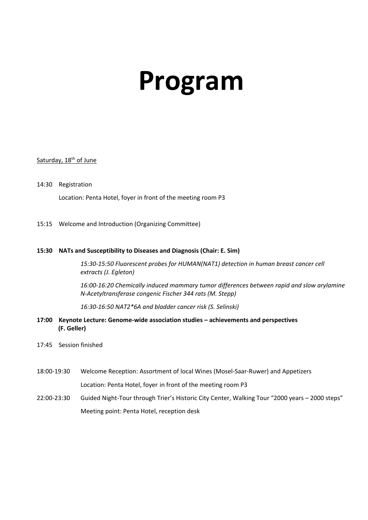# **Program**

#### Saturday, 18<sup>th</sup> of June

- 14:30 Registration Location: Penta Hotel, foyer in front of the meeting room P3
- 15:15 Welcome and Introduction (Organizing Committee)

#### **15:30 NATs and Susceptibility to Diseases and Diagnosis (Chair: E. Sim)**

*15:30-15:50 Fluorescent probes for HUMAN(NAT1) detection in human breast cancer cell extracts (J. Egleton)*

*16:00-16:20 Chemically induced mammary tumor differences between rapid and slow arylamine N-Acetyltransferase congenic Fischer 344 rats (M. Stepp)*

*16:30-16:50 NAT2\*6A and bladder cancer risk (S. Selinski)*

#### **17:00 Keynote Lecture: Genome-wide association studies – achievements and perspectives (F. Geller)**

- 17:45 Session finished
- 18:00-19:30 Welcome Reception: Assortment of local Wines (Mosel-Saar-Ruwer) and Appetizers Location: Penta Hotel, foyer in front of the meeting room P3
- 22:00-23:30 Guided Night-Tour through Trier's Historic City Center, Walking Tour "2000 years 2000 steps" Meeting point: Penta Hotel, reception desk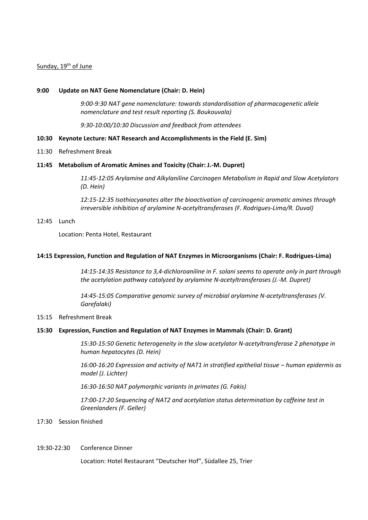#### Sunday, 19<sup>th</sup> of June

#### **9:00 Update on NAT Gene Nomenclature (Chair: D. Hein)**

*9:00-9:30 ΝΑΤ gene nomenclature: towards standardisation of pharmacogenetic allele nomenclature and test result reporting (S. Boukouvala)*

*9:30-10:00/10:30 Discussion and feedback from attendees*

#### **10:30 Keynote Lecture: NAT Research and Accomplishments in the Field (E. Sim)**

11:30 Refreshment Break

#### **11:45 Metabolism of Aromatic Amines and Toxicity (Chair: J.-M. Dupret)**

*11:45-12:05 Arylamine and Alkylaniline Carcinogen Metabolism in Rapid and Slow Acetylators (D. Hein)*

*12:15-12:35 Isothiocyanates alter the bioactivation of carcinogenic aromatic amines through irreversible inhibition of arylamine N-acetyltransferases (F. Rodrigues-Lima/R. Duval)*

#### 12:45 Lunch

Location: Penta Hotel, Restaurant

#### **14:15 Expression, Function and Regulation of NAT Enzymes in Microorganisms (Chair: F. Rodrigues-Lima)**

*14:15-14:35 Resistance to 3,4-dichloroaniline in F. solani seems to operate only in part through the acetylation pathway catalyzed by arylamine N-acetyltransferases (J.-M. Dupret)*

*14:45-15:05 Comparative genomic survey of microbial arylamine N-acetyltransferases (V. Garefalaki)*

#### 15:15 Refreshment Break

#### **15:30 Expression, Function and Regulation of NAT Enzymes in Mammals (Chair: D. Grant)**

*15:30-15:50 Genetic heterogeneity in the slow acetylator N-acetyltransferase 2 phenotype in human hepatocytes (D. Hein)*

*16:00-16:20 Expression and activity of NAT1 in stratified epithelial tissue – human epidermis as model (J. Lichter)* 

*16:30-16:50 NAT polymorphic variants in primates (G. Fakis)*

*17:00-17:20 Sequencing of NAT2 and acetylation status determination by caffeine test in Greenlanders (F. Geller)*

17:30 Session finished

#### 19:30-22:30 Conference Dinner

Location: Hotel Restaurant "Deutscher Hof", Südallee 25, Trier